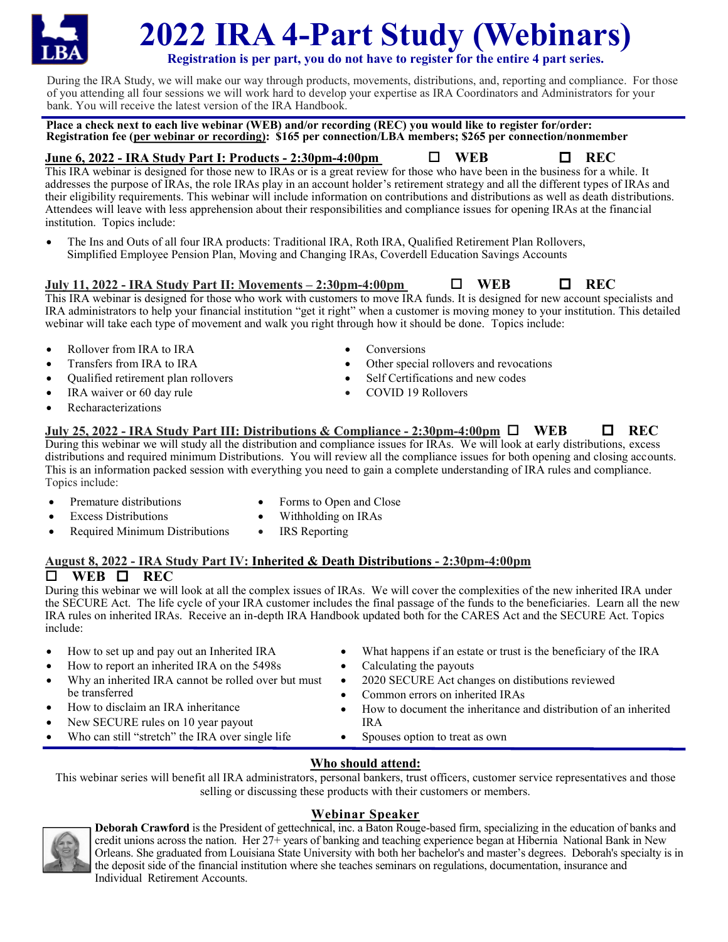# **2022 IRA 4-Part Study (Webinars)**

**Registration is per part, you do not have to register for the entire 4 part series.**

During the IRA Study, we will make our way through products, movements, distributions, and, reporting and compliance. For those of you attending all four sessions we will work hard to develop your expertise as IRA Coordinators and Administrators for your bank. You will receive the latest version of the IRA Handbook.

**Place a check next to each live webinar (WEB) and/or recording (REC) you would like to register for/order: Registration fee (per webinar or recording): \$165 per connection/LBA members; \$265 per connection/nonmember**

#### **June 6, 2022 - IRA Study Part I: Products - 2:30pm-4:00pm WEB REC**

This IRA webinar is designed for those new to IRAs or is a great review for those who have been in the business for a while. It addresses the purpose of IRAs, the role IRAs play in an account holder's retirement strategy and all the different types of IRAs and their eligibility requirements. This webinar will include information on contributions and distributions as well as death distributions. Attendees will leave with less apprehension about their responsibilities and compliance issues for opening IRAs at the financial institution. Topics include:

• The Ins and Outs of all four IRA products: Traditional IRA, Roth IRA, Qualified Retirement Plan Rollovers, Simplified Employee Pension Plan, Moving and Changing IRAs, Coverdell Education Savings Accounts

**July 11, 2022 - IRA Study Part II: Movements – 2:30pm-4:00pm WEB REC**

This IRA webinar is designed for those who work with customers to move IRA funds. It is designed for new account specialists and IRA administrators to help your financial institution "get it right" when a customer is moving money to your institution. This detailed webinar will take each type of movement and walk you right through how it should be done. Topics include:

- Rollover from IRA to IRA
- Transfers from IRA to IRA
- Qualified retirement plan rollovers
- IRA waiver or 60 day rule
- Recharacterizations
- Conversions
- Other special rollovers and revocations
- Self Certifications and new codes
- COVID 19 Rollovers
- **July 25, 2022 - IRA Study Part III: Distributions & Compliance 2:30pm-4:00pm**  $\Box$  **<b>WEB**  $\Box$  **REC** During this webinar we will study all the distribution and compliance issues for IRAs. We will look at early distributions, excess

distributions and required minimum Distributions. You will review all the compliance issues for both opening and closing accounts. This is an information packed session with everything you need to gain a complete understanding of IRA rules and compliance. Topics include:

- Premature distributions
- Forms to Open and Close
- **Excess Distributions**
- Required Minimum Distributions
- Withholding on IRAs IRS Reporting

#### **August 8, 2022 - IRA Study Part IV: Inherited & Death Distributions - 2:30pm-4:00pm**   $\Box$  WEB  $\Box$  REC

During this webinar we will look at all the complex issues of IRAs. We will cover the complexities of the new inherited IRA under the SECURE Act. The life cycle of your IRA customer includes the final passage of the funds to the beneficiaries. Learn all the new IRA rules on inherited IRAs. Receive an in-depth IRA Handbook updated both for the CARES Act and the SECURE Act. Topics include:

• How to set up and pay out an Inherited IRA • How to report an inherited IRA on the 5498s Why an inherited IRA cannot be rolled over but must be transferred • How to disclaim an IRA inheritance • New SECURE rules on 10 year payout Who can still "stretch" the IRA over single life What happens if an estate or trust is the beneficiary of the IRA Calculating the payouts • 2020 SECURE Act changes on distibutions reviewed • Common errors on inherited IRAs • How to document the inheritance and distribution of an inherited IRA • Spouses option to treat as own

#### **Who should attend:**

This webinar series will benefit all IRA administrators, personal bankers, trust officers, customer service representatives and those selling or discussing these products with their customers or members.

## **Webinar Speaker**

**Deborah Crawford** is the President of gettechnical, inc. a Baton Rouge-based firm, specializing in the education of banks and credit unions across the nation. Her 27+ years of banking and teaching experience began at Hibernia National Bank in New Orleans. She graduated from Louisiana State University with both her bachelor's and master's degrees. Deborah's specialty is in the deposit side of the financial institution where she teaches seminars on regulations, documentation, insurance and Individual Retirement Accounts.